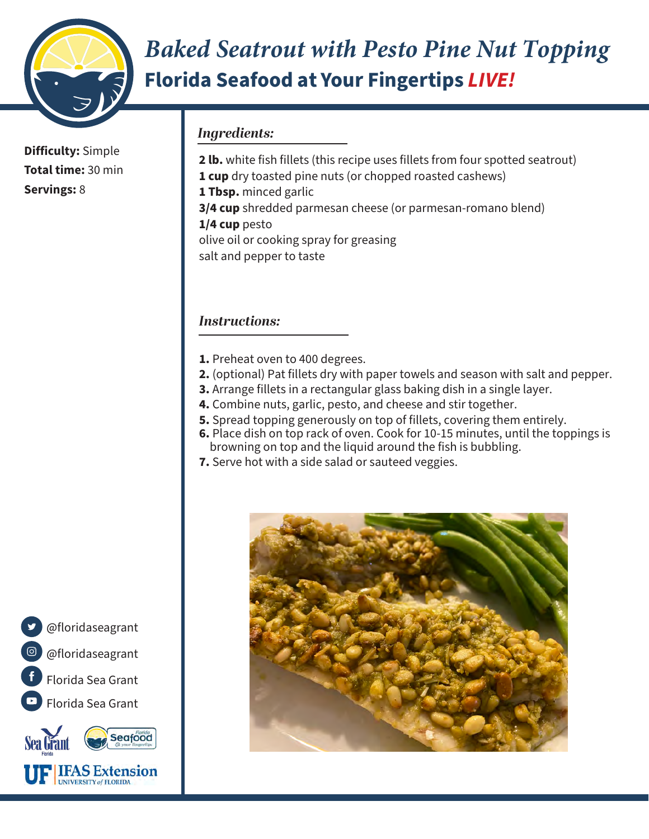

## *Baked Seatrout with Pesto Pine Nut Topping* **Florida Seafood at Your Fingertips** *LIVE!*

**Difficulty:** Simple **Total time:** 30 min **Servings:** 8

## *Ingredients:*

**2 lb.** white fish fillets (this recipe uses fillets from four spotted seatrout) **1 cup** dry toasted pine nuts (or chopped roasted cashews) **1 Tbsp.** minced garlic **3/4 cup** shredded parmesan cheese (or parmesan-romano blend) **1/4 cup** pesto olive oil or cooking spray for greasing salt and pepper to taste

#### *Instructions:*

- **1.** Preheat oven to 400 degrees.
- **2.** (optional) Pat fillets dry with paper towels and season with salt and pepper.
- **3.** Arrange fillets in a rectangular glass baking dish in a single layer.
- **4.** Combine nuts, garlic, pesto, and cheese and stir together.
- **5.** Spread topping generously on top of fillets, covering them entirely.
- **6.** Place dish on top rack of oven. Cook for 10-15 minutes, until the toppings is browning on top and the liquid around the fish is bubbling.
- **7.** Serve hot with a side salad or sauteed veggies.





**THAS Extension** UNIVERSITY of FLORIDA